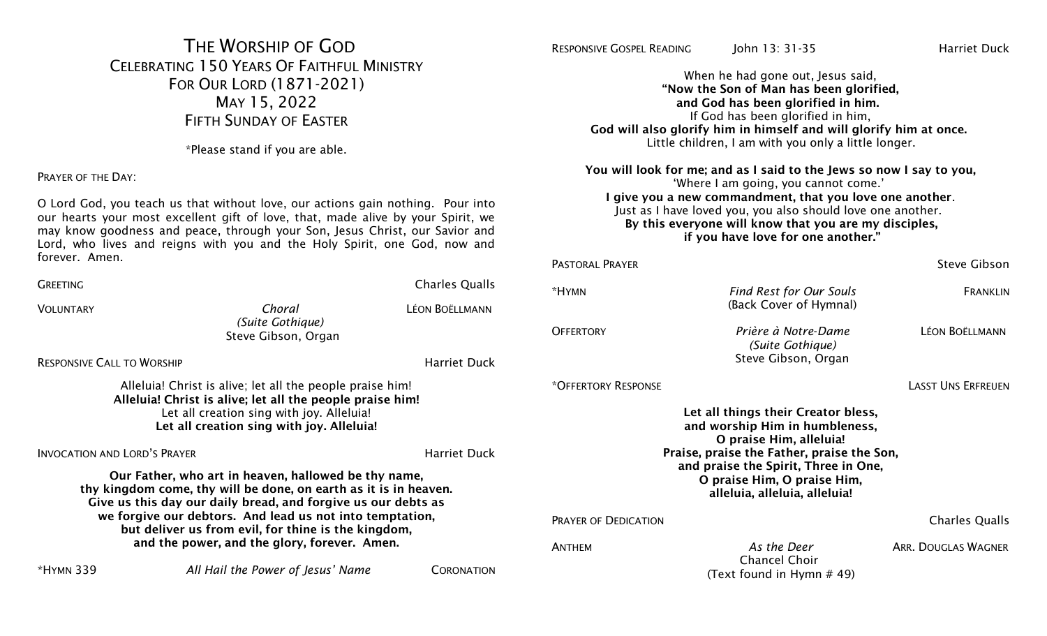# THE WORSHIP OF GOD CELEBRATING 150 YEARS OF FAITHFUL MINISTRY FOR OUR LORD (1871-2021) MAY 15, 2022 FIFTH SUNDAY OF EASTER

\*Please stand if you are able.

PRAYER OF THE DAY:

O Lord God, you teach us that without love, our actions gain nothing. Pour into our hearts your most excellent gift of love, that, made alive by your Spirit, we may know goodness and peace, through your Son, Jesus Christ, our Savior and Lord, who lives and reigns with you and the Holy Spirit, one God, now and forever. Amen.

| <b>GREETING</b>                                                                                                                                                                                                                                                                                                                                              |                                                   | <b>Charles Qualls</b> | *HYMN            |  |
|--------------------------------------------------------------------------------------------------------------------------------------------------------------------------------------------------------------------------------------------------------------------------------------------------------------------------------------------------------------|---------------------------------------------------|-----------------------|------------------|--|
| <b>VOLUNTARY</b>                                                                                                                                                                                                                                                                                                                                             | Choral<br>(Suite Gothique)<br>Steve Gibson, Organ | <b>LÉON BOËLLMANN</b> | <b>OFFERTORY</b> |  |
| <b>RESPONSIVE CALL TO WORSHIP</b>                                                                                                                                                                                                                                                                                                                            |                                                   | <b>Harriet Duck</b>   |                  |  |
| Alleluia! Christ is alive; let all the people praise him!<br>Alleluia! Christ is alive; let all the people praise him!<br>Let all creation sing with joy. Alleluia!<br>Let all creation sing with joy. Alleluia!                                                                                                                                             |                                                   |                       |                  |  |
| <b>INVOCATION AND LORD'S PRAYER</b>                                                                                                                                                                                                                                                                                                                          |                                                   | <b>Harriet Duck</b>   |                  |  |
| Our Father, who art in heaven, hallowed be thy name,<br>thy kingdom come, thy will be done, on earth as it is in heaven.<br>Give us this day our daily bread, and forgive us our debts as<br>we forgive our debtors. And lead us not into temptation,<br>but deliver us from evil, for thine is the kingdom,<br>and the power, and the glory, forever. Amen. |                                                   |                       |                  |  |
| *HYMN 339                                                                                                                                                                                                                                                                                                                                                    | All Hail the Power of Jesus' Name                 | CORONATION            |                  |  |

RESPONSIVE GOSPEL READING LIGHT 13: 31-35 Harriet Duck

When he had gone out, Jesus said, "Now the Son of Man has been glorified, and God has been glorified in him. If God has been glorified in him, God will also glorify him in himself and will glorify him at once. Little children, I am with you only a little longer.

You will look for me; and as I said to the Jews so now I say to you, 'Where I am going, you cannot come.' I give you a new commandment, that you love one another. Just as I have loved you, you also should love one another. By this everyone will know that you are my disciples, if you have love for one another."

| PASTORAI PRAYER             |                                                                                                                                                                                                                                                        | <b>Steve Gibson</b>        |
|-----------------------------|--------------------------------------------------------------------------------------------------------------------------------------------------------------------------------------------------------------------------------------------------------|----------------------------|
| *HYMN                       | <b>Find Rest for Our Souls</b><br>(Back Cover of Hymnal)                                                                                                                                                                                               | <b>FRANKLIN</b>            |
| <b>OFFERTORY</b>            | Prière à Notre-Dame<br>(Suite Gothique)<br>Steve Gibson, Organ                                                                                                                                                                                         | <b>LÉON BOËLLMANN</b>      |
| *OFFERTORY RESPONSE         |                                                                                                                                                                                                                                                        | <b>LASST UNS ERFREUEN</b>  |
|                             | Let all things their Creator bless,<br>and worship Him in humbleness,<br>O praise Him, alleluia!<br>Praise, praise the Father, praise the Son,<br>and praise the Spirit, Three in One,<br>O praise Him, O praise Him,<br>alleluia, alleluia, alleluia! |                            |
| <b>PRAYER OF DEDICATION</b> |                                                                                                                                                                                                                                                        | <b>Charles Qualls</b>      |
| <b>ANTHFM</b>               | As the Deer<br><b>Chancel Choir</b><br>(Text found in Hymn # 49)                                                                                                                                                                                       | <b>ARR. DOUGLAS WAGNER</b> |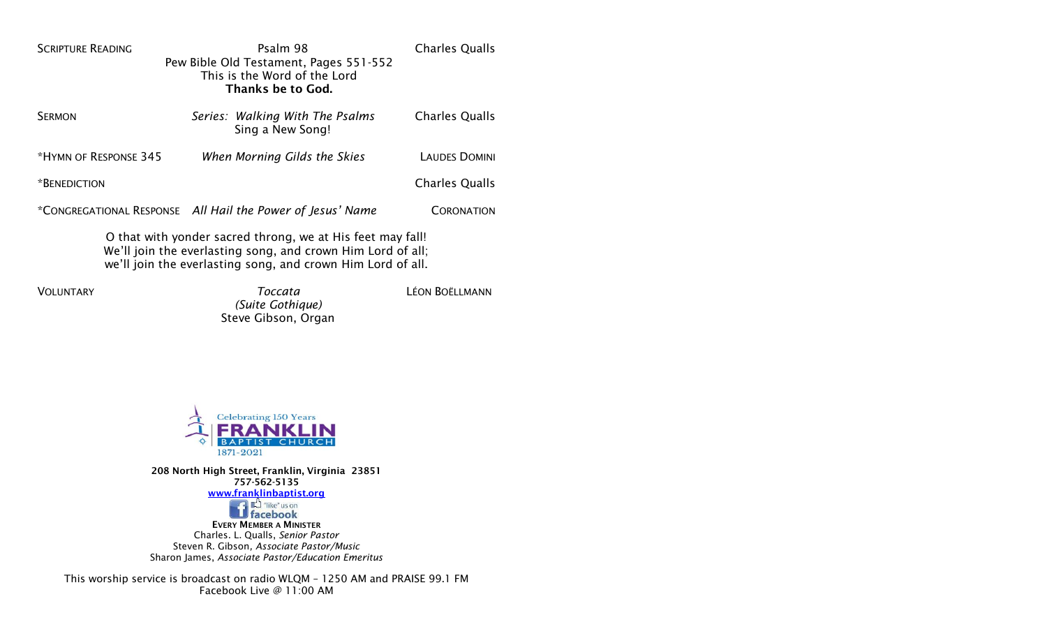| Psalm 98                                                    | <b>Charles Qualls</b>                                                                                                                                                                                                               |  |  |  |  |
|-------------------------------------------------------------|-------------------------------------------------------------------------------------------------------------------------------------------------------------------------------------------------------------------------------------|--|--|--|--|
|                                                             |                                                                                                                                                                                                                                     |  |  |  |  |
|                                                             |                                                                                                                                                                                                                                     |  |  |  |  |
|                                                             |                                                                                                                                                                                                                                     |  |  |  |  |
|                                                             | <b>Charles Qualls</b>                                                                                                                                                                                                               |  |  |  |  |
| Sing a New Song!                                            |                                                                                                                                                                                                                                     |  |  |  |  |
|                                                             |                                                                                                                                                                                                                                     |  |  |  |  |
|                                                             | <b>LAUDES DOMINI</b>                                                                                                                                                                                                                |  |  |  |  |
|                                                             | <b>Charles Qualls</b>                                                                                                                                                                                                               |  |  |  |  |
|                                                             |                                                                                                                                                                                                                                     |  |  |  |  |
|                                                             | <b>CORONATION</b>                                                                                                                                                                                                                   |  |  |  |  |
| O that with yonder sacred throng, we at His feet may fall!  |                                                                                                                                                                                                                                     |  |  |  |  |
| We'll join the everlasting song, and crown Him Lord of all; |                                                                                                                                                                                                                                     |  |  |  |  |
|                                                             | Pew Bible Old Testament, Pages 551-552<br>This is the Word of the Lord<br><b>Thanks be to God.</b><br>Series: Walking With The Psalms<br>When Morning Gilds the Skies<br>*CONGREGATIONAL RESPONSE All Hail the Power of Jesus' Name |  |  |  |  |

we'll join the everlasting song, and crown Him Lord of all.

VOLUNTARY *Toccata (Suite Gothique)* Steve Gibson, Organ LÉON BOËLLMANN



208 North High Street, Franklin, Virginia 23851 757-562-5135 [www.franklinbaptist.org](http://www.franklinbaptist.org/)<br>
The discrimination of facebook

EVERY MEMBER A MINISTER Charles. L. Qualls, *Senior Pastor* Steven R. Gibson*, Associate Pastor/Music* Sharon James, *Associate Pastor/Education Emeritus* 

This worship service is broadcast on radio WLQM – 1250 AM and PRAISE 99.1 FM Facebook Live @ 11:00 AM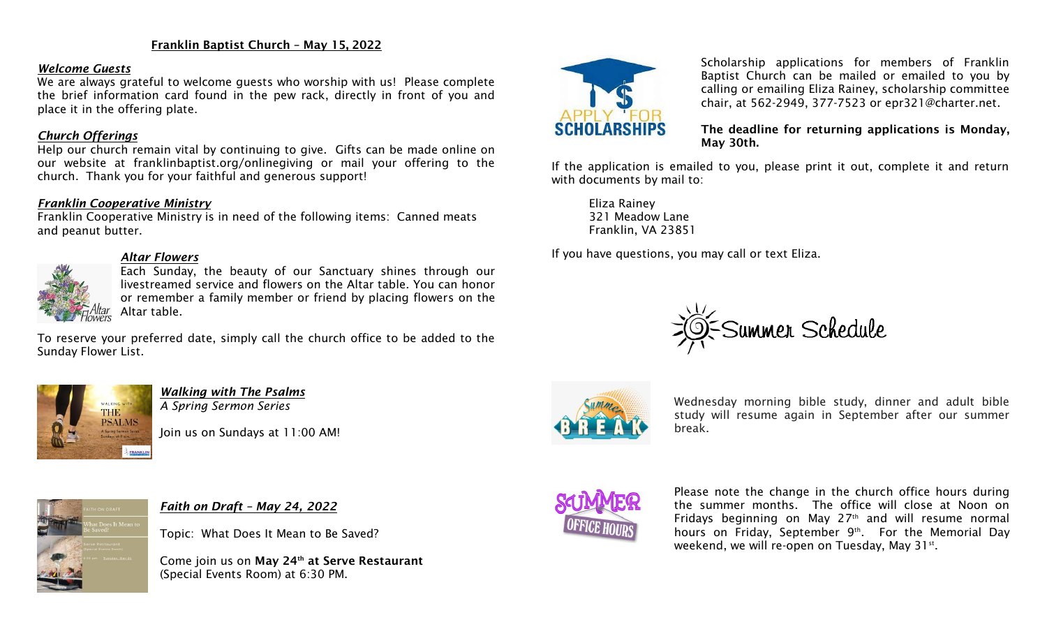#### Franklin Baptist Church – May 15, 2022

#### *Welcome Guests*

We are always grateful to welcome guests who worship with us! Please complete the brief information card found in the pew rack, directly in front of you and place it in the offering plate.

#### *Church Offerings*

Help our church remain vital by continuing to give. Gifts can be made online on our website at franklinbaptist.org/onlinegiving or mail your offering to the church. Thank you for your faithful and generous support!

#### *Franklin Cooperative Ministry*

Franklin Cooperative Ministry is in need of the following items: Canned meats and peanut butter.

# *Altar Flowers*

Each Sunday, the beauty of our Sanctuary shines through our livestreamed service and flowers on the Altar table. You can honor or remember a family member or friend by placing flowers on the Altar table.

To reserve your preferred date, simply call the church office to be added to the Sunday Flower List.



*Walking with The Psalms A Spring Sermon Series*

Join us on Sundays at 11:00 AM!



Scholarship applications for members of Franklin Baptist Church can be mailed or emailed to you by calling or emailing Eliza Rainey, scholarship committee chair, at 562-2949, 377-7523 or epr321@charter.net.

#### The deadline for returning applications is Monday, May 30th.

If the application is emailed to you, please print it out, complete it and return with documents by mail to:

Eliza Rainey 321 Meadow Lane Franklin, VA 23851

If you have questions, you may call or text Eliza.





Wednesday morning bible study, dinner and adult bible study will resume again in September after our summer break.



*Faith on Draft – May 24, 2022*

Topic: What Does It Mean to Be Saved?

Come join us on May 24<sup>th</sup> at Serve Restaurant (Special Events Room) at 6:30 PM.



Please note the change in the church office hours during the summer months. The office will close at Noon on Fridays beginning on May 27 th and will resume normal hours on Friday, September 9<sup>th</sup>. For the Memorial Day weekend, we will re-open on Tuesday, May 31st.